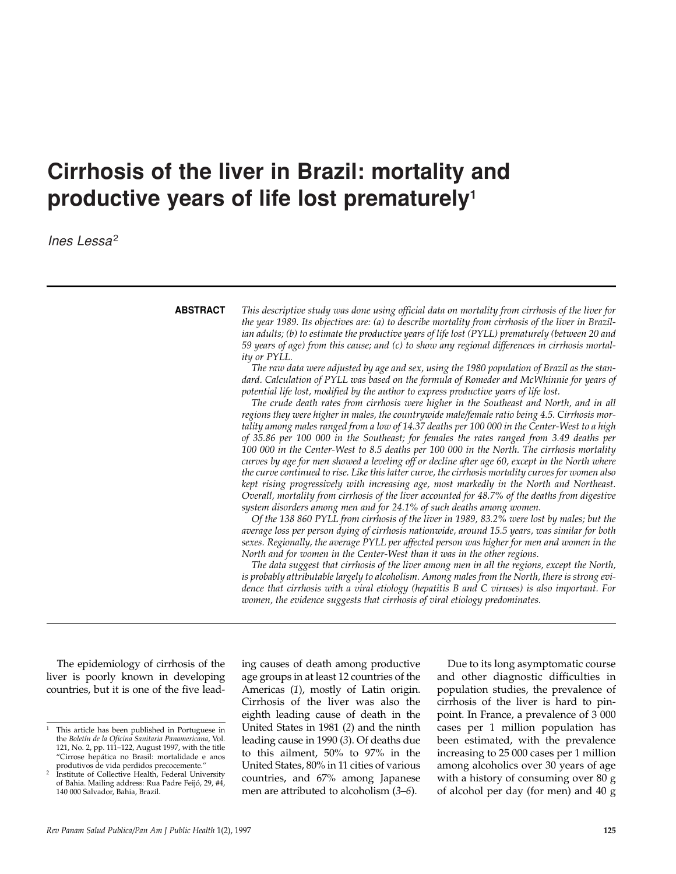# **Cirrhosis of the liver in Brazil: mortality and productive years of life lost prematurely1**

*Ines Lessa*<sup>2</sup>

### **ABSTRACT**

*This descriptive study was done using official data on mortality from cirrhosis of the liver for the year 1989. Its objectives are: (a) to describe mortality from cirrhosis of the liver in Brazilian adults; (b) to estimate the productive years of life lost (PYLL) prematurely (between 20 and 59 years of age) from this cause; and (c) to show any regional differences in cirrhosis mortality or PYLL.*

*The raw data were adjusted by age and sex, using the 1980 population of Brazil as the standard. Calculation of PYLL was based on the formula of Romeder and McWhinnie for years of potential life lost, modified by the author to express productive years of life lost.*

*The crude death rates from cirrhosis were higher in the Southeast and North, and in all regions they were higher in males, the countrywide male/female ratio being 4.5. Cirrhosis mortality among males ranged from a low of 14.37 deaths per 100 000 in the Center-West to a high of 35.86 per 100 000 in the Southeast; for females the rates ranged from 3.49 deaths per 100 000 in the Center-West to 8.5 deaths per 100 000 in the North. The cirrhosis mortality curves by age for men showed a leveling off or decline after age 60, except in the North where the curve continued to rise. Like this latter curve, the cirrhosis mortality curves for women also kept rising progressively with increasing age, most markedly in the North and Northeast. Overall, mortality from cirrhosis of the liver accounted for 48.7% of the deaths from digestive system disorders among men and for 24.1% of such deaths among women.*

*Of the 138 860 PYLL from cirrhosis of the liver in 1989, 83.2% were lost by males; but the average loss per person dying of cirrhosis nationwide, around 15.5 years, was similar for both sexes. Regionally, the average PYLL per affected person was higher for men and women in the North and for women in the Center-West than it was in the other regions.*

*The data suggest that cirrhosis of the liver among men in all the regions, except the North, is probably attributable largely to alcoholism. Among males from the North, there is strong evidence that cirrhosis with a viral etiology (hepatitis B and C viruses) is also important. For women, the evidence suggests that cirrhosis of viral etiology predominates.*

The epidemiology of cirrhosis of the liver is poorly known in developing countries, but it is one of the five lead-

ing causes of death among productive age groups in at least 12 countries of the Americas (*1*), mostly of Latin origin. Cirrhosis of the liver was also the eighth leading cause of death in the United States in 1981 (*2*) and the ninth leading cause in 1990 (*3*). Of deaths due to this ailment, 50% to 97% in the United States, 80% in 11 cities of various countries, and 67% among Japanese men are attributed to alcoholism (*3–6*).

Due to its long asymptomatic course and other diagnostic difficulties in population studies, the prevalence of cirrhosis of the liver is hard to pinpoint. In France, a prevalence of 3 000 cases per 1 million population has been estimated, with the prevalence increasing to 25 000 cases per 1 million among alcoholics over 30 years of age with a history of consuming over 80 g of alcohol per day (for men) and 40 g

<sup>1</sup> This article has been published in Portuguese in the *Boletín de la Oficina Sanitaria Panamericana*, Vol. 121, No. 2, pp. 111–122, August 1997, with the title "Cirrose hepática no Brasil: mortalidade e anos produtivos de vida perdidos precocemente."

Institute of Collective Health, Federal University of Bahia. Mailing address: Rua Padre Feijó, 29, #4, 140 000 Salvador, Bahia, Brazil.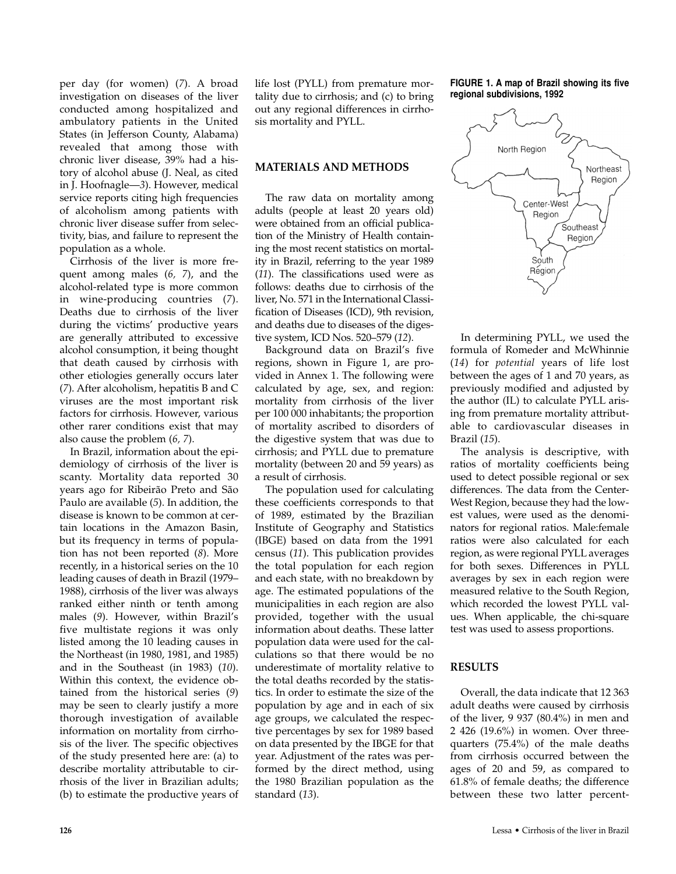per day (for women) (*7*). A broad investigation on diseases of the liver conducted among hospitalized and ambulatory patients in the United States (in Jefferson County, Alabama) revealed that among those with chronic liver disease, 39% had a history of alcohol abuse (J. Neal, as cited in J. Hoofnagle—*3*). However, medical service reports citing high frequencies of alcoholism among patients with chronic liver disease suffer from selectivity, bias, and failure to represent the population as a whole.

Cirrhosis of the liver is more frequent among males (*6, 7*), and the alcohol-related type is more common in wine-producing countries (*7*). Deaths due to cirrhosis of the liver during the victims' productive years are generally attributed to excessive alcohol consumption, it being thought that death caused by cirrhosis with other etiologies generally occurs later (*7*). After alcoholism, hepatitis B and C viruses are the most important risk factors for cirrhosis. However, various other rarer conditions exist that may also cause the problem (*6, 7*).

In Brazil, information about the epidemiology of cirrhosis of the liver is scanty. Mortality data reported 30 years ago for Ribeirão Preto and São Paulo are available (*5*). In addition, the disease is known to be common at certain locations in the Amazon Basin, but its frequency in terms of population has not been reported (*8*). More recently, in a historical series on the 10 leading causes of death in Brazil (1979– 1988), cirrhosis of the liver was always ranked either ninth or tenth among males (*9*). However, within Brazil's five multistate regions it was only listed among the 10 leading causes in the Northeast (in 1980, 1981, and 1985) and in the Southeast (in 1983) (*10*). Within this context, the evidence obtained from the historical series (*9*) may be seen to clearly justify a more thorough investigation of available information on mortality from cirrhosis of the liver. The specific objectives of the study presented here are: (a) to describe mortality attributable to cirrhosis of the liver in Brazilian adults; (b) to estimate the productive years of

life lost (PYLL) from premature mortality due to cirrhosis; and (c) to bring out any regional differences in cirrhosis mortality and PYLL.

#### **MATERIALS AND METHODS**

The raw data on mortality among adults (people at least 20 years old) were obtained from an official publication of the Ministry of Health containing the most recent statistics on mortality in Brazil, referring to the year 1989 (*11*). The classifications used were as follows: deaths due to cirrhosis of the liver, No. 571 in the International Classification of Diseases (ICD), 9th revision, and deaths due to diseases of the digestive system, ICD Nos. 520–579 (*12*).

Background data on Brazil's five regions, shown in Figure 1, are provided in Annex 1. The following were calculated by age, sex, and region: mortality from cirrhosis of the liver per 100 000 inhabitants; the proportion of mortality ascribed to disorders of the digestive system that was due to cirrhosis; and PYLL due to premature mortality (between 20 and 59 years) as a result of cirrhosis.

The population used for calculating these coefficients corresponds to that of 1989, estimated by the Brazilian Institute of Geography and Statistics (IBGE) based on data from the 1991 census (*11*). This publication provides the total population for each region and each state, with no breakdown by age. The estimated populations of the municipalities in each region are also provided, together with the usual information about deaths. These latter population data were used for the calculations so that there would be no underestimate of mortality relative to the total deaths recorded by the statistics. In order to estimate the size of the population by age and in each of six age groups, we calculated the respective percentages by sex for 1989 based on data presented by the IBGE for that year. Adjustment of the rates was performed by the direct method, using the 1980 Brazilian population as the standard (*13*).

**FIGURE 1. A map of Brazil showing its five regional subdivisions, 1992**



In determining PYLL, we used the formula of Romeder and McWhinnie (*14*) for *potential* years of life lost between the ages of 1 and 70 years, as previously modified and adjusted by the author (IL) to calculate PYLL arising from premature mortality attributable to cardiovascular diseases in Brazil (*15*).

The analysis is descriptive, with ratios of mortality coefficients being used to detect possible regional or sex differences. The data from the Center-West Region, because they had the lowest values, were used as the denominators for regional ratios. Male:female ratios were also calculated for each region, as were regional PYLL averages for both sexes. Differences in PYLL averages by sex in each region were measured relative to the South Region, which recorded the lowest PYLL values. When applicable, the chi-square test was used to assess proportions.

#### **RESULTS**

Overall, the data indicate that 12 363 adult deaths were caused by cirrhosis of the liver, 9 937 (80.4%) in men and 2 426 (19.6%) in women. Over threequarters (75.4%) of the male deaths from cirrhosis occurred between the ages of 20 and 59, as compared to 61.8% of female deaths; the difference between these two latter percent-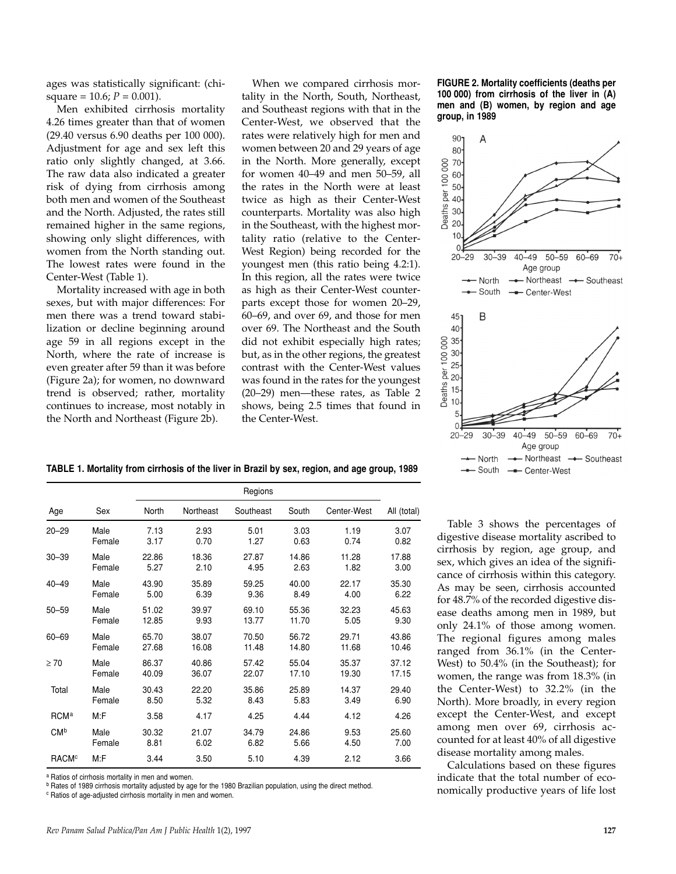ages was statistically significant: (chisquare = 10.6;  $P = 0.001$ ).

Men exhibited cirrhosis mortality 4.26 times greater than that of women (29.40 versus 6.90 deaths per 100 000). Adjustment for age and sex left this ratio only slightly changed, at 3.66. The raw data also indicated a greater risk of dying from cirrhosis among both men and women of the Southeast and the North. Adjusted, the rates still remained higher in the same regions, showing only slight differences, with women from the North standing out. The lowest rates were found in the Center-West (Table 1).

Mortality increased with age in both sexes, but with major differences: For men there was a trend toward stabilization or decline beginning around age 59 in all regions except in the North, where the rate of increase is even greater after 59 than it was before (Figure 2a); for women, no downward trend is observed; rather, mortality continues to increase, most notably in the North and Northeast (Figure 2b).

When we compared cirrhosis mortality in the North, South, Northeast, and Southeast regions with that in the Center-West, we observed that the rates were relatively high for men and women between 20 and 29 years of age in the North. More generally, except for women 40–49 and men 50–59, all the rates in the North were at least twice as high as their Center-West counterparts. Mortality was also high in the Southeast, with the highest mortality ratio (relative to the Center-West Region) being recorded for the youngest men (this ratio being 4.2:1). In this region, all the rates were twice as high as their Center-West counterparts except those for women 20–29, 60–69, and over 69, and those for men over 69. The Northeast and the South did not exhibit especially high rates; but, as in the other regions, the greatest contrast with the Center-West values was found in the rates for the youngest (20–29) men—these rates, as Table 2 shows, being 2.5 times that found in the Center-West.

| TABLE 1. Mortality from cirrhosis of the liver in Brazil by sex, region, and age group, 1989 |  |  |  |  |
|----------------------------------------------------------------------------------------------|--|--|--|--|
|----------------------------------------------------------------------------------------------|--|--|--|--|

|                         |        |       | Regions   |           |       |             |             |  |  |
|-------------------------|--------|-------|-----------|-----------|-------|-------------|-------------|--|--|
| Age                     | Sex    | North | Northeast | Southeast | South | Center-West | All (total) |  |  |
| $20 - 29$               | Male   | 7.13  | 2.93      | 5.01      | 3.03  | 1.19        | 3.07        |  |  |
|                         | Female | 3.17  | 0.70      | 1.27      | 0.63  | 0.74        | 0.82        |  |  |
| $30 - 39$               | Male   | 22.86 | 18.36     | 27.87     | 14.86 | 11.28       | 17.88       |  |  |
|                         | Female | 5.27  | 2.10      | 4.95      | 2.63  | 1.82        | 3.00        |  |  |
| $40 - 49$               | Male   | 43.90 | 35.89     | 59.25     | 40.00 | 22.17       | 35.30       |  |  |
|                         | Female | 5.00  | 6.39      | 9.36      | 8.49  | 4.00        | 6.22        |  |  |
| $50 - 59$               | Male   | 51.02 | 39.97     | 69.10     | 55.36 | 32.23       | 45.63       |  |  |
|                         | Female | 12.85 | 9.93      | 13.77     | 11.70 | 5.05        | 9.30        |  |  |
| $60 - 69$               | Male   | 65.70 | 38.07     | 70.50     | 56.72 | 29.71       | 43.86       |  |  |
|                         | Female | 27.68 | 16.08     | 11.48     | 14.80 | 11.68       | 10.46       |  |  |
| $\geq 70$               | Male   | 86.37 | 40.86     | 57.42     | 55.04 | 35.37       | 37.12       |  |  |
|                         | Female | 40.09 | 36.07     | 22.07     | 17.10 | 19.30       | 17.15       |  |  |
| Total                   | Male   | 30.43 | 22.20     | 35.86     | 25.89 | 14.37       | 29.40       |  |  |
|                         | Female | 8.50  | 5.32      | 8.43      | 5.83  | 3.49        | 6.90        |  |  |
| <b>RCM</b> <sup>a</sup> | M:F    | 3.58  | 4.17      | 4.25      | 4.44  | 4.12        | 4.26        |  |  |
| CM <sup>b</sup>         | Male   | 30.32 | 21.07     | 34.79     | 24.86 | 9.53        | 25.60       |  |  |
|                         | Female | 8.81  | 6.02      | 6.82      | 5.66  | 4.50        | 7.00        |  |  |
| <b>RACM<sup>c</sup></b> | M:F    | 3.44  | 3.50      | 5.10      | 4.39  | 2.12        | 3.66        |  |  |

<sup>a</sup> Ratios of cirrhosis mortality in men and women.

<sup>b</sup> Rates of 1989 cirrhosis mortality adjusted by age for the 1980 Brazilian population, using the direct method.

<sup>c</sup> Ratios of age-adjusted cirrhosis mortality in men and women.

**FIGURE 2. Mortality coefficients (deaths per 100 000) from cirrhosis of the liver in (A) men and (B) women, by region and age group, in 1989**



Table 3 shows the percentages of digestive disease mortality ascribed to cirrhosis by region, age group, and sex, which gives an idea of the significance of cirrhosis within this category. As may be seen, cirrhosis accounted for 48.7% of the recorded digestive disease deaths among men in 1989, but only 24.1% of those among women. The regional figures among males ranged from 36.1% (in the Center-West) to 50.4% (in the Southeast); for women, the range was from 18.3% (in the Center-West) to 32.2% (in the North). More broadly, in every region except the Center-West, and except among men over 69, cirrhosis accounted for at least 40% of all digestive disease mortality among males.

Calculations based on these figures indicate that the total number of economically productive years of life lost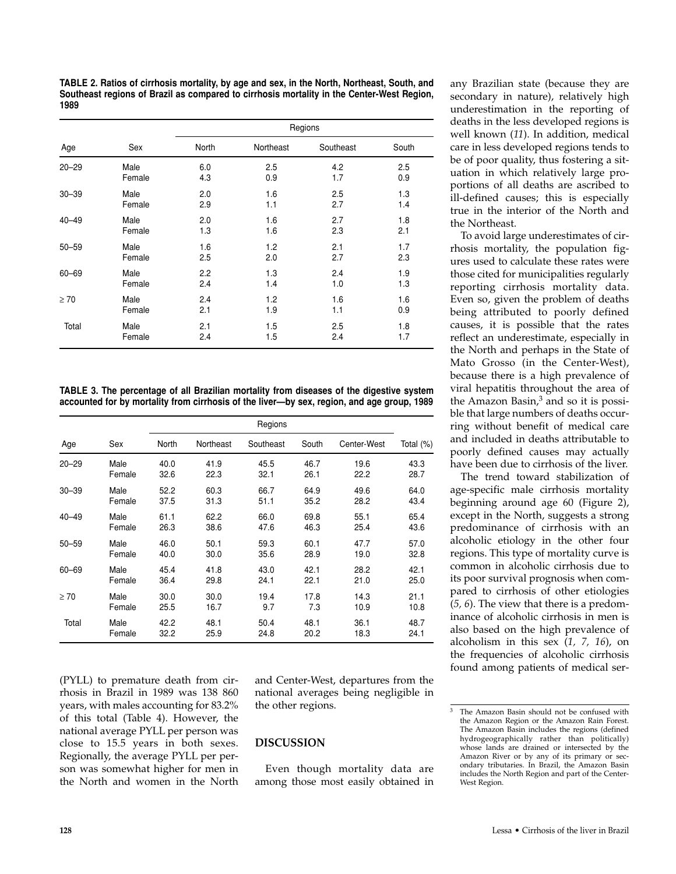**TABLE 2. Ratios of cirrhosis mortality, by age and sex, in the North, Northeast, South, and Southeast regions of Brazil as compared to cirrhosis mortality in the Center-West Region, 1989**

|           |        |              |           | Regions   |       |
|-----------|--------|--------------|-----------|-----------|-------|
| Age       | Sex    | <b>North</b> | Northeast | Southeast | South |
| $20 - 29$ | Male   | 6.0          | 2.5       | 4.2       | 2.5   |
|           | Female | 4.3          | 0.9       | 1.7       | 0.9   |
| $30 - 39$ | Male   | 2.0          | 1.6       | 2.5       | 1.3   |
|           | Female | 2.9          | 1.1       | 2.7       | 1.4   |
| $40 - 49$ | Male   | 2.0          | 1.6       | 2.7       | 1.8   |
|           | Female | 1.3          | 1.6       | 2.3       | 2.1   |
| $50 - 59$ | Male   | 1.6          | 1.2       | 2.1       | 1.7   |
|           | Female | 2.5          | 2.0       | 2.7       | 2.3   |
| $60 - 69$ | Male   | 2.2          | 1.3       | 2.4       | 1.9   |
|           | Female | 2.4          | 1.4       | 1.0       | 1.3   |
| $\geq 70$ | Male   | 2.4          | 1.2       | 1.6       | 1.6   |
|           | Female | 2.1          | 1.9       | 1.1       | 0.9   |
| Total     | Male   | 2.1          | 1.5       | 2.5       | 1.8   |
|           | Female | 2.4          | 1.5       | 2.4       | 1.7   |

**TABLE 3. The percentage of all Brazilian mortality from diseases of the digestive system accounted for by mortality from cirrhosis of the liver—by sex, region, and age group, 1989**

|           |        | Regions |           |           |       |             |           |  |
|-----------|--------|---------|-----------|-----------|-------|-------------|-----------|--|
| Age       | Sex    | North   | Northeast | Southeast | South | Center-West | Total (%) |  |
| $20 - 29$ | Male   | 40.0    | 41.9      | 45.5      | 46.7  | 19.6        | 43.3      |  |
|           | Female | 32.6    | 22.3      | 32.1      | 26.1  | 22.2        | 28.7      |  |
| $30 - 39$ | Male   | 52.2    | 60.3      | 66.7      | 64.9  | 49.6        | 64.0      |  |
|           | Female | 37.5    | 31.3      | 51.1      | 35.2  | 28.2        | 43.4      |  |
| $40 - 49$ | Male   | 61.1    | 62.2      | 66.0      | 69.8  | 55.1        | 65.4      |  |
|           | Female | 26.3    | 38.6      | 47.6      | 46.3  | 25.4        | 43.6      |  |
| $50 - 59$ | Male   | 46.0    | 50.1      | 59.3      | 60.1  | 47.7        | 57.0      |  |
|           | Female | 40.0    | 30.0      | 35.6      | 28.9  | 19.0        | 32.8      |  |
| $60 - 69$ | Male   | 45.4    | 41.8      | 43.0      | 42.1  | 28.2        | 42.1      |  |
|           | Female | 36.4    | 29.8      | 24.1      | 22.1  | 21.0        | 25.0      |  |
| $\geq 70$ | Male   | 30.0    | 30.0      | 19.4      | 17.8  | 14.3        | 21.1      |  |
|           | Female | 25.5    | 16.7      | 9.7       | 7.3   | 10.9        | 10.8      |  |
| Total     | Male   | 42.2    | 48.1      | 50.4      | 48.1  | 36.1        | 48.7      |  |
|           | Female | 32.2    | 25.9      | 24.8      | 20.2  | 18.3        | 24.1      |  |

(PYLL) to premature death from cirrhosis in Brazil in 1989 was 138 860 years, with males accounting for 83.2% of this total (Table 4). However, the national average PYLL per person was close to 15.5 years in both sexes. Regionally, the average PYLL per person was somewhat higher for men in the North and women in the North

and Center-West, departures from the national averages being negligible in the other regions.

#### **DISCUSSION**

Even though mortality data are among those most easily obtained in

any Brazilian state (because they are secondary in nature), relatively high underestimation in the reporting of deaths in the less developed regions is well known (*11*). In addition, medical care in less developed regions tends to be of poor quality, thus fostering a situation in which relatively large proportions of all deaths are ascribed to ill-defined causes; this is especially true in the interior of the North and the Northeast.

To avoid large underestimates of cirrhosis mortality, the population figures used to calculate these rates were those cited for municipalities regularly reporting cirrhosis mortality data. Even so, given the problem of deaths being attributed to poorly defined causes, it is possible that the rates reflect an underestimate, especially in the North and perhaps in the State of Mato Grosso (in the Center-West), because there is a high prevalence of viral hepatitis throughout the area of the Amazon Basin,<sup>3</sup> and so it is possible that large numbers of deaths occurring without benefit of medical care and included in deaths attributable to poorly defined causes may actually have been due to cirrhosis of the liver.

The trend toward stabilization of age-specific male cirrhosis mortality beginning around age 60 (Figure 2), except in the North, suggests a strong predominance of cirrhosis with an alcoholic etiology in the other four regions. This type of mortality curve is common in alcoholic cirrhosis due to its poor survival prognosis when compared to cirrhosis of other etiologies (*5, 6*). The view that there is a predominance of alcoholic cirrhosis in men is also based on the high prevalence of alcoholism in this sex (*1, 7, 16*), on the frequencies of alcoholic cirrhosis found among patients of medical ser-

<sup>&</sup>lt;sup>3</sup> The Amazon Basin should not be confused with the Amazon Region or the Amazon Rain Forest. The Amazon Basin includes the regions (defined hydrogeographically rather than politically) whose lands are drained or intersected by the Amazon River or by any of its primary or secondary tributaries. In Brazil, the Amazon Basin includes the North Region and part of the Center-West Region.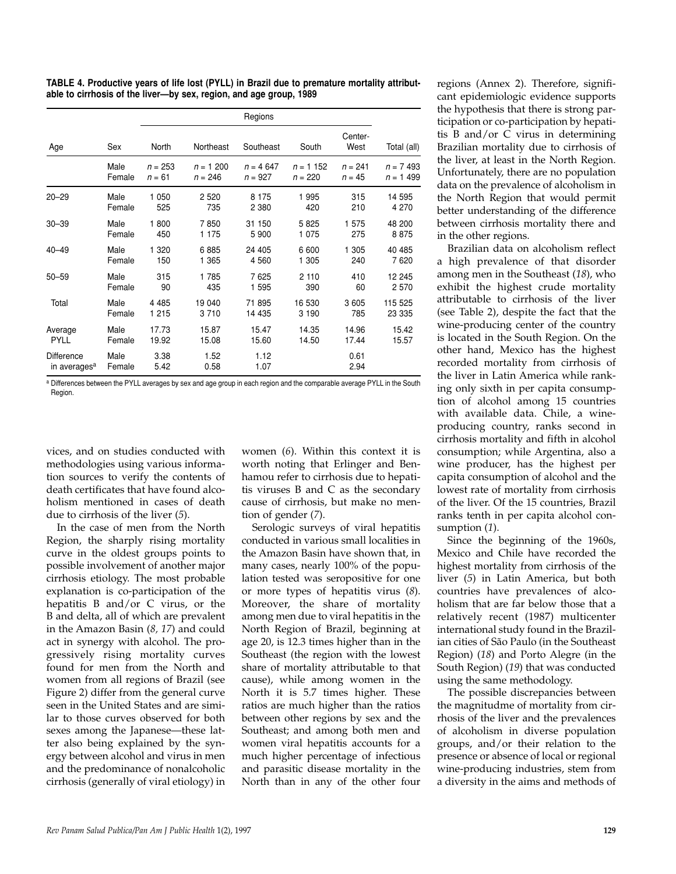**TABLE 4. Productive years of life lost (PYLL) in Brazil due to premature mortality attributable to cirrhosis of the liver—by sex, region, and age group, 1989**

|                                        |                |              |              | Regions      |            |                 |             |
|----------------------------------------|----------------|--------------|--------------|--------------|------------|-----------------|-------------|
| Age                                    | Sex            | <b>North</b> | Northeast    | Southeast    | South      | Center-<br>West | Total (all) |
|                                        | Male           | $n = 253$    | $n = 1200$   | $n = 4647$   | $n = 1152$ | $n = 241$       | $n = 7493$  |
|                                        | Female         | $n = 61$     | $n = 246$    | $n = 927$    | $n = 220$  | $n = 45$        | $n = 1499$  |
| $20 - 29$                              | Male           | 1 0 5 0      | 2 5 2 0      | 8 1 7 5      | 1995       | 315             | 14 595      |
|                                        | Female         | 525          | 735          | 2 3 8 0      | 420        | 210             | 4 270       |
| $30 - 39$                              | Male           | 1800         | 7850         | 31 150       | 5825       | 1575            | 48 200      |
|                                        | Female         | 450          | 1 1 7 5      | 5 900        | 1 0 7 5    | 275             | 8875        |
| $40 - 49$                              | Male           | 1 3 2 0      | 6885         | 24 405       | 6600       | 1 305           | 40 485      |
|                                        | Female         | 150          | 1 365        | 4 5 6 0      | 1 305      | 240             | 7620        |
| $50 - 59$                              | Male           | 315          | 1785         | 7625         | 2 1 1 0    | 410             | 12 245      |
|                                        | Female         | 90           | 435          | 1 595        | 390        | 60              | 2 5 7 0     |
| Total                                  | Male           | 4 4 8 5      | 19 040       | 71 895       | 16 530     | 3 6 0 5         | 115 525     |
|                                        | Female         | 1 2 1 5      | 3710         | 14 4 35      | 3 1 9 0    | 785             | 23 335      |
| Average                                | Male           | 17.73        | 15.87        | 15.47        | 14.35      | 14.96           | 15.42       |
| <b>PYLL</b>                            | Female         | 19.92        | 15.08        | 15.60        | 14.50      | 17.44           | 15.57       |
| Difference<br>in averages <sup>a</sup> | Male<br>Female | 3.38<br>5.42 | 1.52<br>0.58 | 1.12<br>1.07 |            | 0.61<br>2.94    |             |

a Differences between the PYLL averages by sex and age group in each region and the comparable average PYLL in the South Region.

vices, and on studies conducted with methodologies using various information sources to verify the contents of death certificates that have found alcoholism mentioned in cases of death due to cirrhosis of the liver (*5*).

In the case of men from the North Region, the sharply rising mortality curve in the oldest groups points to possible involvement of another major cirrhosis etiology. The most probable explanation is co-participation of the hepatitis B and/or C virus, or the B and delta, all of which are prevalent in the Amazon Basin (*8, 17*) and could act in synergy with alcohol. The progressively rising mortality curves found for men from the North and women from all regions of Brazil (see Figure 2) differ from the general curve seen in the United States and are similar to those curves observed for both sexes among the Japanese—these latter also being explained by the synergy between alcohol and virus in men and the predominance of nonalcoholic cirrhosis (generally of viral etiology) in

women (*6*). Within this context it is worth noting that Erlinger and Benhamou refer to cirrhosis due to hepatitis viruses B and C as the secondary cause of cirrhosis, but make no mention of gender (*7*).

Serologic surveys of viral hepatitis conducted in various small localities in the Amazon Basin have shown that, in many cases, nearly 100% of the population tested was seropositive for one or more types of hepatitis virus (*8*). Moreover, the share of mortality among men due to viral hepatitis in the North Region of Brazil, beginning at age 20, is 12.3 times higher than in the Southeast (the region with the lowest share of mortality attributable to that cause), while among women in the North it is 5.7 times higher. These ratios are much higher than the ratios between other regions by sex and the Southeast; and among both men and women viral hepatitis accounts for a much higher percentage of infectious and parasitic disease mortality in the North than in any of the other four regions (Annex 2). Therefore, significant epidemiologic evidence supports the hypothesis that there is strong participation or co-participation by hepatitis B and/or C virus in determining Brazilian mortality due to cirrhosis of the liver, at least in the North Region. Unfortunately, there are no population data on the prevalence of alcoholism in the North Region that would permit better understanding of the difference between cirrhosis mortality there and in the other regions.

Brazilian data on alcoholism reflect a high prevalence of that disorder among men in the Southeast (*18*), who exhibit the highest crude mortality attributable to cirrhosis of the liver (see Table 2), despite the fact that the wine-producing center of the country is located in the South Region. On the other hand, Mexico has the highest recorded mortality from cirrhosis of the liver in Latin America while ranking only sixth in per capita consumption of alcohol among 15 countries with available data. Chile, a wineproducing country, ranks second in cirrhosis mortality and fifth in alcohol consumption; while Argentina, also a wine producer, has the highest per capita consumption of alcohol and the lowest rate of mortality from cirrhosis of the liver. Of the 15 countries, Brazil ranks tenth in per capita alcohol consumption (*1*).

Since the beginning of the 1960s, Mexico and Chile have recorded the highest mortality from cirrhosis of the liver (*5*) in Latin America, but both countries have prevalences of alcoholism that are far below those that a relatively recent (1987) multicenter international study found in the Brazilian cities of São Paulo (in the Southeast Region) (*18*) and Porto Alegre (in the South Region) (*19*) that was conducted using the same methodology.

The possible discrepancies between the magnitudme of mortality from cirrhosis of the liver and the prevalences of alcoholism in diverse population groups, and/or their relation to the presence or absence of local or regional wine-producing industries, stem from a diversity in the aims and methods of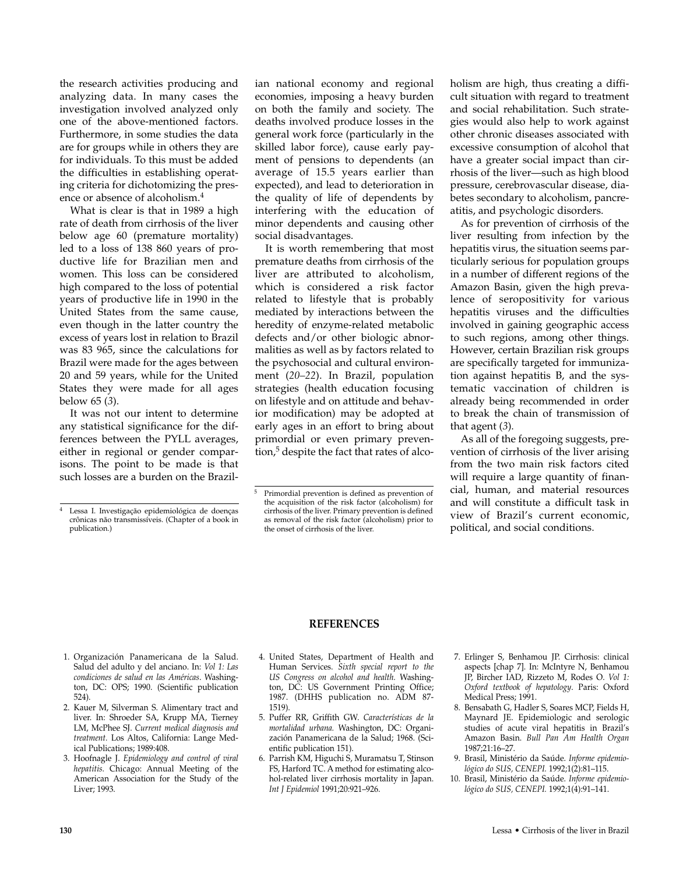the research activities producing and analyzing data. In many cases the investigation involved analyzed only one of the above-mentioned factors. Furthermore, in some studies the data are for groups while in others they are for individuals. To this must be added the difficulties in establishing operating criteria for dichotomizing the presence or absence of alcoholism.<sup>4</sup>

What is clear is that in 1989 a high rate of death from cirrhosis of the liver below age 60 (premature mortality) led to a loss of 138 860 years of productive life for Brazilian men and women. This loss can be considered high compared to the loss of potential years of productive life in 1990 in the United States from the same cause, even though in the latter country the excess of years lost in relation to Brazil was 83 965, since the calculations for Brazil were made for the ages between 20 and 59 years, while for the United States they were made for all ages below 65 (*3*).

It was not our intent to determine any statistical significance for the differences between the PYLL averages, either in regional or gender comparisons. The point to be made is that such losses are a burden on the Brazilian national economy and regional economies, imposing a heavy burden on both the family and society. The deaths involved produce losses in the general work force (particularly in the skilled labor force), cause early payment of pensions to dependents (an average of 15.5 years earlier than expected), and lead to deterioration in the quality of life of dependents by interfering with the education of minor dependents and causing other social disadvantages.

It is worth remembering that most premature deaths from cirrhosis of the liver are attributed to alcoholism, which is considered a risk factor related to lifestyle that is probably mediated by interactions between the heredity of enzyme-related metabolic defects and/or other biologic abnormalities as well as by factors related to the psychosocial and cultural environment (*20–22*). In Brazil, population strategies (health education focusing on lifestyle and on attitude and behavior modification) may be adopted at early ages in an effort to bring about primordial or even primary prevention,<sup>5</sup> despite the fact that rates of alcoholism are high, thus creating a difficult situation with regard to treatment and social rehabilitation. Such strategies would also help to work against other chronic diseases associated with excessive consumption of alcohol that have a greater social impact than cirrhosis of the liver—such as high blood pressure, cerebrovascular disease, diabetes secondary to alcoholism, pancreatitis, and psychologic disorders.

As for prevention of cirrhosis of the liver resulting from infection by the hepatitis virus, the situation seems particularly serious for population groups in a number of different regions of the Amazon Basin, given the high prevalence of seropositivity for various hepatitis viruses and the difficulties involved in gaining geographic access to such regions, among other things. However, certain Brazilian risk groups are specifically targeted for immunization against hepatitis B, and the systematic vaccination of children is already being recommended in order to break the chain of transmission of that agent (*3*).

As all of the foregoing suggests, prevention of cirrhosis of the liver arising from the two main risk factors cited will require a large quantity of financial, human, and material resources and will constitute a difficult task in view of Brazil's current economic, political, and social conditions.

#### **REFERENCES**

- 1. Organización Panamericana de la Salud. Salud del adulto y del anciano. In: *Vol 1: Las condiciones de salud en las Américas*. Washington, DC: OPS; 1990. (Scientific publication 524).
- 2. Kauer M, Silverman S. Alimentary tract and liver. In: Shroeder SA, Krupp MA, Tierney LM, McPhee SJ. *Current medical diagnosis and treatment.* Los Altos, California: Lange Medical Publications; 1989:408.
- 3. Hoofnagle J. *Epidemiology and control of viral hepatitis.* Chicago: Annual Meeting of the American Association for the Study of the Liver; 1993.
- 4. United States, Department of Health and Human Services. *Sixth special report to the US Congress on alcohol and health.* Washington, DC: US Government Printing Office; 1987. (DHHS publication no. ADM 87- 1519).
- 5. Puffer RR, Griffith GW. *Características de la mortalidad urbana.* Washington, DC: Organización Panamericana de la Salud; 1968. (Scientific publication 151).
- 6. Parrish KM, Higuchi S, Muramatsu T, Stinson FS, Harford TC. A method for estimating alcohol-related liver cirrhosis mortality in Japan. *Int J Epidemiol* 1991;20:921–926.
- 7. Erlinger S, Benhamou JP. Cirrhosis: clinical aspects [chap 7]. In: McIntyre N, Benhamou JP, Bircher IAD, Rizzeto M, Rodes O. *Vol 1: Oxford textbook of hepatology*. Paris: Oxford Medical Press; 1991.
- 8. Bensabath G, Hadler S, Soares MCP, Fields H, Maynard JE. Epidemiologic and serologic studies of acute viral hepatitis in Brazil's Amazon Basin. *Bull Pan Am Health Organ* 1987;21:16–27.
- 9. Brasil, Ministério da Saúde. *Informe epidemiológico do SUS, CENEPI.* 1992;1(2):81–115.
- 10. Brasil, Ministério da Saúde. *Informe epidemiológico do SUS, CENEPI.* 1992;1(4):91–141.

<sup>4</sup> Lessa I. Investigação epidemiológica de doenças crônicas não transmissíveis. (Chapter of a book in publication.)

<sup>5</sup> Primordial prevention is defined as prevention of the acquisition of the risk factor (alcoholism) for cirrhosis of the liver. Primary prevention is defined as removal of the risk factor (alcoholism) prior to the onset of cirrhosis of the liver.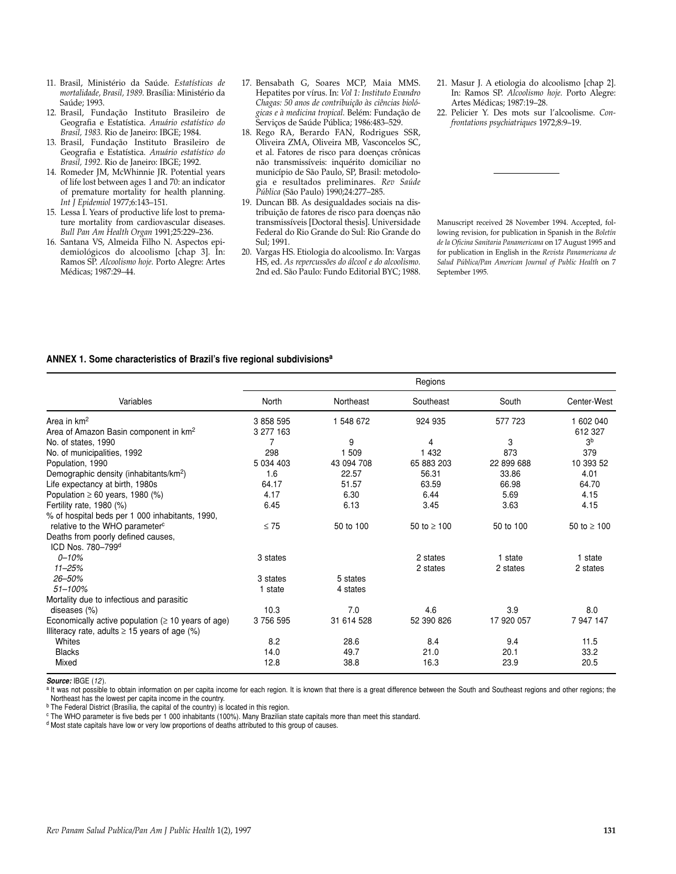- 11. Brasil, Ministério da Saúde. *Estatísticas de mortalidade, Brasil, 1989.* Brasília: Ministério da Saúde; 1993.
- 12. Brasil, Fundação Instituto Brasileiro de Geografia e Estatística. *Anuário estatístico do Brasil, 1983.* Rio de Janeiro: IBGE; 1984.
- 13. Brasil, Fundação Instituto Brasileiro de Geografia e Estatística. *Anuário estatístico do Brasil, 1992.* Rio de Janeiro: IBGE; 1992.
- 14. Romeder JM, McWhinnie JR. Potential years of life lost between ages 1 and 70: an indicator of premature mortality for health planning. *Int J Epidemiol* 1977;6:143–151.
- 15. Lessa I. Years of productive life lost to premature mortality from cardiovascular diseases. *Bull Pan Am Health Organ* 1991;25:229–236.
- 16. Santana VS, Almeida Filho N. Aspectos epidemiológicos do alcoolismo [chap 3]. In: Ramos SP. *Alcoolismo hoje.* Porto Alegre: Artes Médicas; 1987:29–44.
- 17. Bensabath G, Soares MCP, Maia MMS. Hepatites por vírus. In: *Vol 1: Instituto Evandro Chagas: 50 anos de contribuição às ciências biológicas e à medicina tropical.* Belém: Fundação de Serviços de Saúde Pública; 1986:483–529.
- 18. Rego RA, Berardo FAN, Rodrigues SSR, Oliveira ZMA, Oliveira MB, Vasconcelos SC, et al. Fatores de risco para doenças crônicas não transmissíveis: inquérito domiciliar no município de São Paulo, SP, Brasil: metodologia e resultados preliminares. *Rev Saúde Pública* (São Paulo) 1990;24:277–285.
- 19. Duncan BB. As desigualdades sociais na distribuição de fatores de risco para doenças não transmissíveis [Doctoral thesis]. Universidade Federal do Rio Grande do Sul: Rio Grande do Sul; 1991.
- 20. Vargas HS. Etiologia do alcoolismo. In: Vargas HS, ed. *As repercussões do álcool e do alcoolismo.* 2nd ed. São Paulo: Fundo Editorial BYC; 1988.
- 21. Masur J. A etiologia do alcoolismo [chap 2]. In: Ramos SP. *Alcoolismo hoje.* Porto Alegre: Artes Médicas; 1987:19–28.
- 22. Pelicier Y. Des mots sur l'alcoolisme. *Confrontations psychiatriques* 1972;8:9–19.

Manuscript received 28 November 1994. Accepted, following revision, for publication in Spanish in the *Boletín de la Oficina Sanitaria Panamericana* on 17 August 1995 and for publication in English in the *Revista Panamericana de Salud Pública/Pan American Journal of Public Health* on 7 September 1995*.*

#### **ANNEX 1. Some characteristics of Brazil's five regional subdivisionsa**

|                                                          |           |            | Regions          |            |                |
|----------------------------------------------------------|-----------|------------|------------------|------------|----------------|
| Variables                                                | North     | Northeast  | Southeast        | South      | Center-West    |
| Area in $km^2$                                           | 3 858 595 | 1 548 672  | 924 935          | 577 723    | 1 602 040      |
| Area of Amazon Basin component in km <sup>2</sup>        | 3 277 163 |            |                  |            | 612 327        |
| No. of states, 1990                                      |           | 9          | 4                | 3          | 3 <sup>b</sup> |
| No. of municipalities, 1992                              | 298       | 1 509      | 1 4 3 2          | 873        | 379            |
| Population, 1990                                         | 5 034 403 | 43 094 708 | 65 883 203       | 22 899 688 | 10 393 52      |
| Demographic density (inhabitants/km <sup>2</sup> )       | 1.6       | 22.57      | 56.31            | 33.86      | 4.01           |
| Life expectancy at birth, 1980s                          | 64.17     | 51.57      | 63.59            | 66.98      | 64.70          |
| Population $\geq 60$ years, 1980 (%)                     | 4.17      | 6.30       | 6.44             | 5.69       | 4.15           |
| Fertility rate, $1980$ (%)                               | 6.45      | 6.13       | 3.45             | 3.63       | 4.15           |
| % of hospital beds per 1 000 inhabitants, 1990,          |           |            |                  |            |                |
| relative to the WHO parameter <sup>c</sup>               | $\leq 75$ | 50 to 100  | 50 to $\geq 100$ | 50 to 100  | 50 to ≥ 100    |
| Deaths from poorly defined causes,                       |           |            |                  |            |                |
| ICD Nos. 780-799 <sup>d</sup>                            |           |            |                  |            |                |
| $0 - 10%$                                                | 3 states  |            | 2 states         | 1 state    | 1 state        |
| $11 - 25%$                                               |           |            | 2 states         | 2 states   | 2 states       |
| 26-50%                                                   | 3 states  | 5 states   |                  |            |                |
| $51 - 100%$                                              | 1 state   | 4 states   |                  |            |                |
| Mortality due to infectious and parasitic                |           |            |                  |            |                |
| diseases (%)                                             | 10.3      | 7.0        | 4.6              | 3.9        | 8.0            |
| Economically active population ( $\geq 10$ years of age) | 3 756 595 | 31 614 528 | 52 390 826       | 17 920 057 | 7 947 147      |
| Illiteracy rate, adults $\geq$ 15 years of age (%)       |           |            |                  |            |                |
| Whites                                                   | 8.2       | 28.6       | 8.4              | 9.4        | 11.5           |
| <b>Blacks</b>                                            | 14.0      | 49.7       | 21.0             | 20.1       | 33.2           |
| Mixed                                                    | 12.8      | 38.8       | 16.3             | 23.9       | 20.5           |
|                                                          |           |            |                  |            |                |

*Source:* IBGE (*12*).

a It was not possible to obtain information on per capita income for each region. It is known that there is a great difference between the South and Southeast regions and other regions; the Northeast has the lowest per capita income in the country.

b The Federal District (Brasília, the capital of the country) is located in this region.

<sup>c</sup> The WHO parameter is five beds per 1 000 inhabitants (100%). Many Brazilian state capitals more than meet this standard.

<sup>d</sup> Most state capitals have low or very low proportions of deaths attributed to this group of causes.